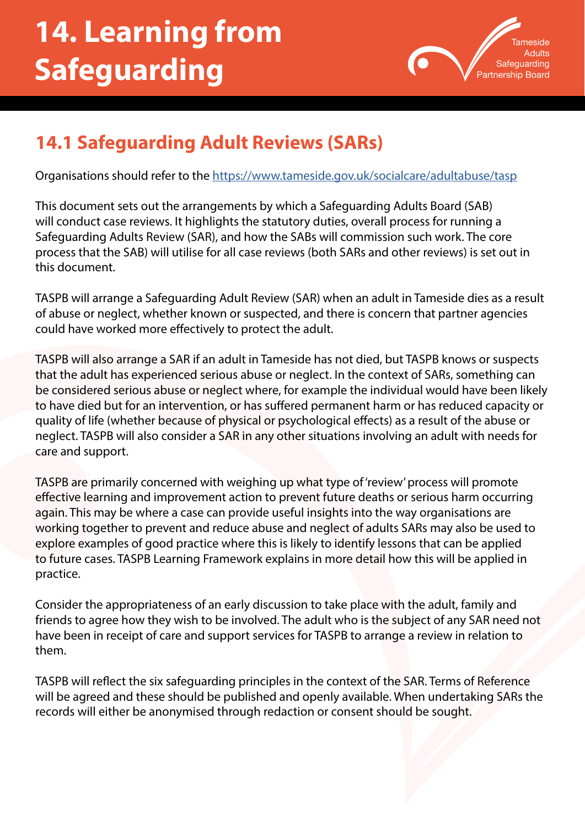## **14. Learning from Safeguarding**



## **14.1 Safeguarding Adult Reviews (SARs)**

Organisations should refer to the<https://www.tameside.gov.uk/socialcare/adultabuse/tasp>

This document sets out the arrangements by which a Safeguarding Adults Board (SAB) will conduct case reviews. It highlights the statutory duties, overall process for running a Safeguarding Adults Review (SAR), and how the SABs will commission such work. The core process that the SAB) will utilise for all case reviews (both SARs and other reviews) is set out in this document.

TASPB will arrange a Safeguarding Adult Review (SAR) when an adult in Tameside dies as a result of abuse or neglect, whether known or suspected, and there is concern that partner agencies could have worked more effectively to protect the adult.

TASPB will also arrange a SAR if an adult in Tameside has not died, but TASPB knows or suspects that the adult has experienced serious abuse or neglect. In the context of SARs, something can be considered serious abuse or neglect where, for example the individual would have been likely to have died but for an intervention, or has suffered permanent harm or has reduced capacity or quality of life (whether because of physical or psychological effects) as a result of the abuse or neglect. TASPB will also consider a SAR in any other situations involving an adult with needs for care and support.

TASPB are primarily concerned with weighing up what type of 'review' process will promote effective learning and improvement action to prevent future deaths or serious harm occurring again. This may be where a case can provide useful insights into the way organisations are working together to prevent and reduce abuse and neglect of adults SARs may also be used to explore examples of good practice where this is likely to identify lessons that can be applied to future cases. TASPB Learning Framework explains in more detail how this will be applied in practice.

Consider the appropriateness of an early discussion to take place with the adult, family and friends to agree how they wish to be involved. The adult who is the subject of any SAR need not have been in receipt of care and support services for TASPB to arrange a review in relation to them.

TASPB will reflect the six safeguarding principles in the context of the SAR. Terms of Reference will be agreed and these should be published and openly available. When undertaking SARs the records will either be anonymised through redaction or consent should be sought.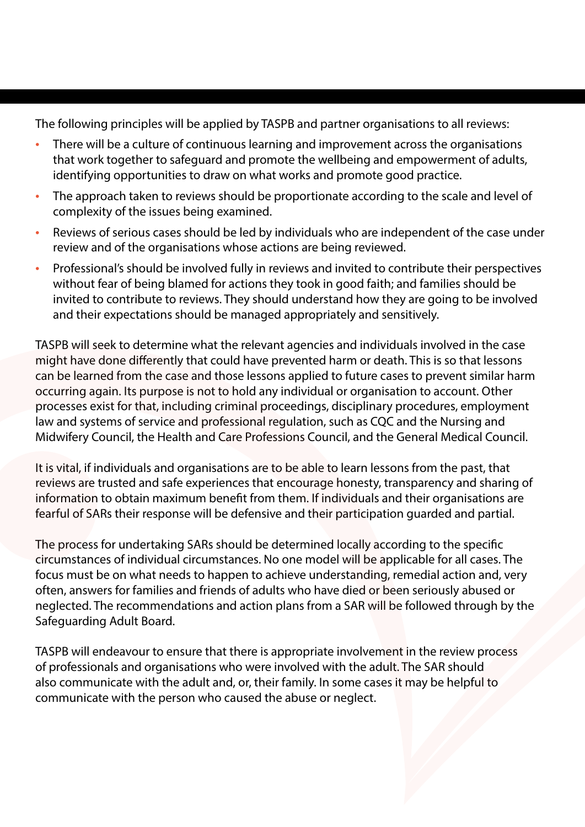The following principles will be applied by TASPB and partner organisations to all reviews:

- There will be a culture of continuous learning and improvement across the organisations that work together to safeguard and promote the wellbeing and empowerment of adults, identifying opportunities to draw on what works and promote good practice.
- The approach taken to reviews should be proportionate according to the scale and level of complexity of the issues being examined.
- Reviews of serious cases should be led by individuals who are independent of the case under review and of the organisations whose actions are being reviewed.
- Professional's should be involved fully in reviews and invited to contribute their perspectives without fear of being blamed for actions they took in good faith; and families should be invited to contribute to reviews. They should understand how they are going to be involved and their expectations should be managed appropriately and sensitively.

TASPB will seek to determine what the relevant agencies and individuals involved in the case might have done differently that could have prevented harm or death. This is so that lessons can be learned from the case and those lessons applied to future cases to prevent similar harm occurring again. Its purpose is not to hold any individual or organisation to account. Other processes exist for that, including criminal proceedings, disciplinary procedures, employment law and systems of service and professional regulation, such as CQC and the Nursing and Midwifery Council, the Health and Care Professions Council, and the General Medical Council.

It is vital, if individuals and organisations are to be able to learn lessons from the past, that reviews are trusted and safe experiences that encourage honesty, transparency and sharing of information to obtain maximum benefit from them. If individuals and their organisations are fearful of SARs their response will be defensive and their participation guarded and partial.

The process for undertaking SARs should be determined locally according to the specific circumstances of individual circumstances. No one model will be applicable for all cases. The focus must be on what needs to happen to achieve understanding, remedial action and, very often, answers for families and friends of adults who have died or been seriously abused or neglected. The recommendations and action plans from a SAR will be followed through by the Safeguarding Adult Board.

TASPB will endeavour to ensure that there is appropriate involvement in the review process of professionals and organisations who were involved with the adult. The SAR should also communicate with the adult and, or, their family. In some cases it may be helpful to communicate with the person who caused the abuse or neglect.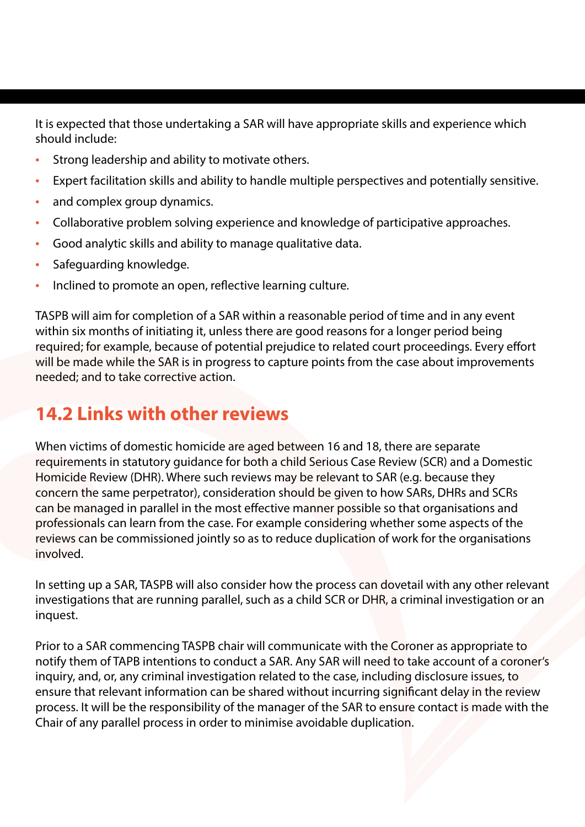It is expected that those undertaking a SAR will have appropriate skills and experience which should include:

- Strong leadership and ability to motivate others.
- Expert facilitation skills and ability to handle multiple perspectives and potentially sensitive.
- and complex group dynamics.
- Collaborative problem solving experience and knowledge of participative approaches.
- Good analytic skills and ability to manage qualitative data.
- Safeguarding knowledge.
- Inclined to promote an open, reflective learning culture.

TASPB will aim for completion of a SAR within a reasonable period of time and in any event within six months of initiating it, unless there are good reasons for a longer period being required; for example, because of potential prejudice to related court proceedings. Every effort will be made while the SAR is in progress to capture points from the case about improvements needed; and to take corrective action.

## **14.2 Links with other reviews**

When victims of domestic homicide are aged between 16 and 18, there are separate requirements in statutory guidance for both a child Serious Case Review (SCR) and a Domestic Homicide Review (DHR). Where such reviews may be relevant to SAR (e.g. because they concern the same perpetrator), consideration should be given to how SARs, DHRs and SCRs can be managed in parallel in the most effective manner possible so that organisations and professionals can learn from the case. For example considering whether some aspects of the reviews can be commissioned jointly so as to reduce duplication of work for the organisations involved.

In setting up a SAR, TASPB will also consider how the process can dovetail with any other relevant investigations that are running parallel, such as a child SCR or DHR, a criminal investigation or an inquest.

Prior to a SAR commencing TASPB chair will communicate with the Coroner as appropriate to notify them of TAPB intentions to conduct a SAR. Any SAR will need to take account of a coroner's inquiry, and, or, any criminal investigation related to the case, including disclosure issues, to ensure that relevant information can be shared without incurring significant delay in the review process. It will be the responsibility of the manager of the SAR to ensure contact is made with the Chair of any parallel process in order to minimise avoidable duplication.